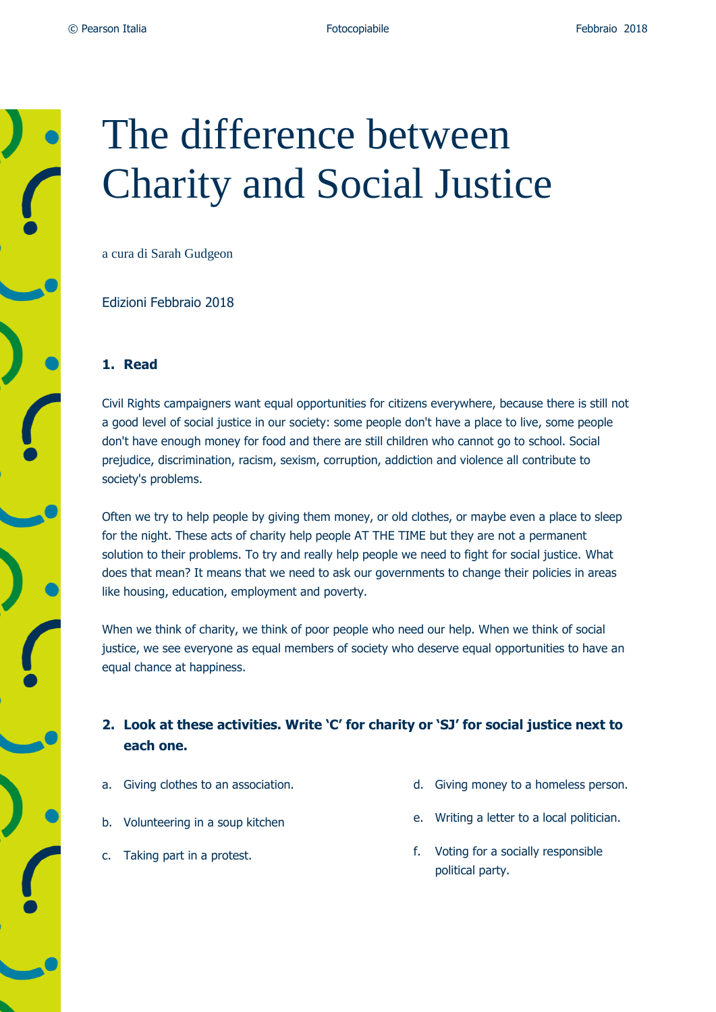

# The difference between Charity and Social Justice

a cura di Sarah Gudgeon

Edizioni Febbraio 2018

#### **1. Read**

Civil Rights campaigners want equal opportunities for citizens everywhere, because there is still not a good level of social justice in our society: some people don't have a place to live, some people don't have enough money for food and there are still children who cannot go to school. Social prejudice, discrimination, racism, sexism, corruption, addiction and violence all contribute to society's problems.

Often we try to help people by giving them money, or old clothes, or maybe even a place to sleep for the night. These acts of charity help people AT THE TIME but they are not a permanent solution to their problems. To try and really help people we need to fight for social justice. What does that mean? It means that we need to ask our governments to change their policies in areas like housing, education, employment and poverty.

When we think of charity, we think of poor people who need our help. When we think of social justice, we see everyone as equal members of society who deserve equal opportunities to have an equal chance at happiness.

## **2. Look at these activities. Write 'C' for charity or 'SJ' for social justice next to each one.**

- a. Giving clothes to an association.
- b. Volunteering in a soup kitchen
- c. Taking part in a protest.
- d. Giving money to a homeless person.
- e. Writing a letter to a local politician.
- f. Voting for a socially responsible political party.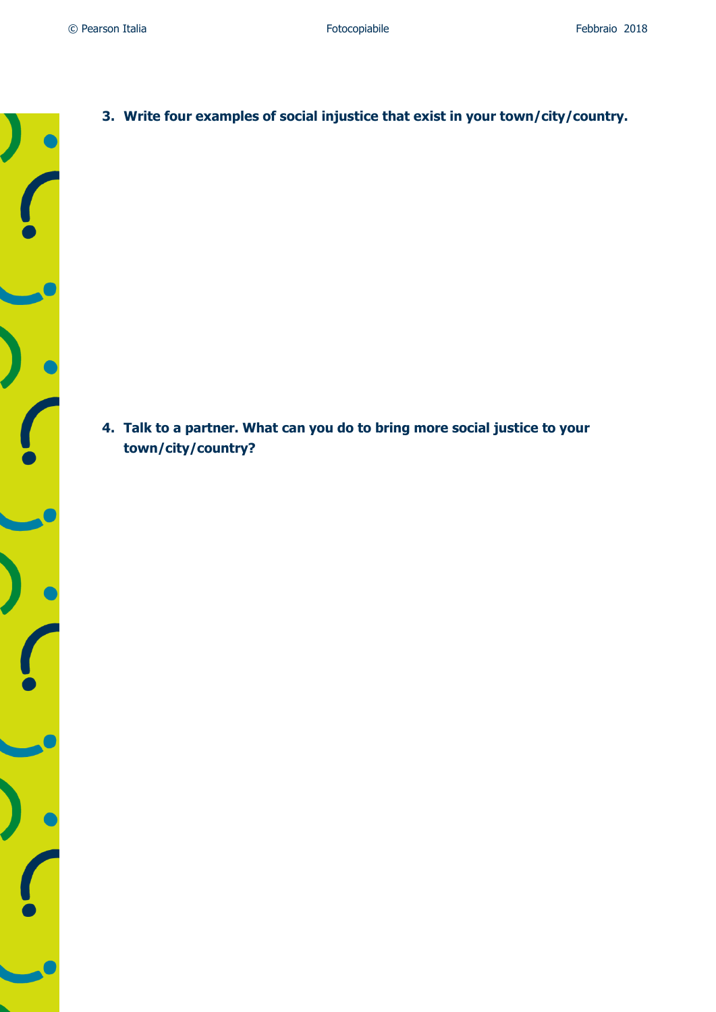**3. Write four examples of social injustice that exist in your town/city/country.**

**4. Talk to a partner. What can you do to bring more social justice to your town/city/country?**